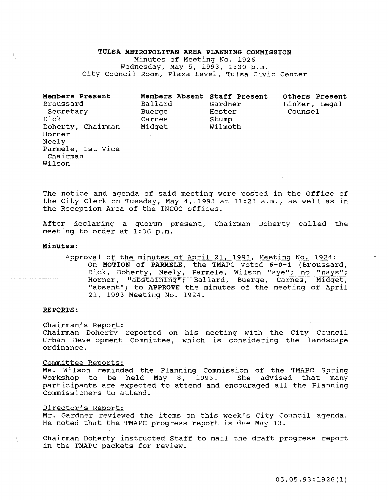#### TULSA METROPOLITAN AREA PLANNING COMMISSION

Minutes of Meeting No. 1926 Wednesday, May 5, 1993, 1:30 p.m. City Council Room, Plaza Level, Tulsa Civic Center

| Members Present<br>Broussard<br>Secretary<br>Dick<br>Doherty, Chairman<br>Horner<br>Neely<br>Parmele, 1st Vice<br>Chairman | Members Absent Staff Present<br>Ballard<br>Buerge<br>Carnes<br>Midget | Gardner<br>Hester<br>Stump<br>Wilmoth | Others Present<br>Linker, Legal<br>Counsel |
|----------------------------------------------------------------------------------------------------------------------------|-----------------------------------------------------------------------|---------------------------------------|--------------------------------------------|
| Wilson                                                                                                                     |                                                                       |                                       |                                            |

The notice and agenda of said meeting were posted in the Office of the City Clerk on Tuesday, May 4, 1993 at 11:23 a.m., as well as in the Reception Area of the INCOG offices.

After declaring a quorum present, Chairman Doherty called the meeting to order at 1:36 p.m.

## Minutes:

Approval of the minutes of April 21, 1993, Meeting No. 1924: On MOTION of PARMELE, the TMAPC voted 6-0-1 (Broussard, Dick, Doherty, Neely, Parmele, Wilson "aye"; no "nays"; Horner, "abstaining"; Ballard, Buerge, Carnes, Midget, "absent") to APPROVE the minutes of the meeting of April 21, 1993 Meeting No. 1924.

#### REPORTS:

Chairman's Report:

Chairman Doherty reported on his meeting with the City Council Urban Development Committee, which is considering the landscape ordinance.

#### Committee Reports:

Ms. Wilson reminded the Planning Commission of the TMAPC Spring Workshop to be held May 8, 1993. She advised that many participants are expected to attend and encouraged all the Planning Commissioners to attend.

### Director's Report:

Mr. Gardner reviewed the items on this week's City Council agenda. He noted that the TMAPC progress report is due May 13.

Chairman Doherty instructed staff to mail the draft progress report in the TMAPC packets for review.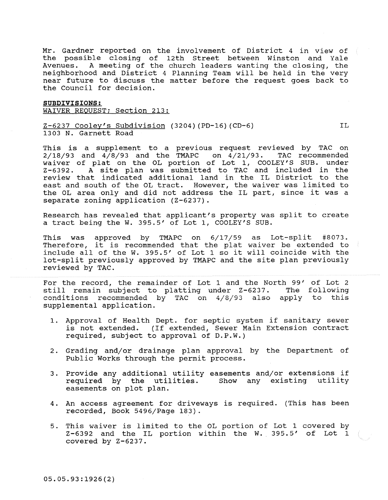Mr. Gardner reported on the involvement of District 4 in view of the possible closing of 12th Street between Winston and Yale Avenues. A meeting of the church leaders wanting the closing, the neighborhood and District 4 Planning Team will be held in the very near future to discuss the matter before the request goes back to the Council for decision.

SUBDIVISIONS: WAIVER REQUEST; Section 213:

Z-6237 Cooley's Subdivision (3204) (PD-16) (CD-6) 1303 N. Garnett Road

This is a supplement to a previous request reviewed by TAC on<br>2/18/93 and 4/8/93 and the TMAPC on 4/21/93. TAC recommended  $2/18/93$  and  $4/8/93$  and the TMAPC on  $4/21/93$ . waiver of plat on the OL portion of Lot 1, COOLEY'S SUB. under Z-6392. A site plan was submitted to TAC and included in the review that indicated additional land in the IL District to the east and south of the OL tract. However, the waiver was limited to the OL area only and did not address the IL part, since it was a separate zoning application (Z-6237).

TL<sub>1</sub>

Research has revealed that applicant's property was split to create a tract being the W. 395.5' of Lot 1, COOLEY'S SUB.

This was approved by TMAPC on 6/17/59 as Lot-split #8073. Therefore, it is recommended that the plat waiver be extended to include all of the w. 395.5' of Lot 1 so it will coincide with the lot-split previously approved by TMAPC and the site plan previously reviewed by TAC.

For the record, the remainder of Lot 1 and the North 99' of Lot 2 still remain subject to platting under  $Z-6237$ . The following still remain subject to platting under Z-6237. conditions recommended by TAC on 4/8/93 also apply to this supplemental application.

- 1. Approval of Health Dept. for septic system if sanitary sewer is not extended. (If extended, Sewer Main Extension contract required, subject to approval of D.P.W.)
- 2. Grading and/or drainage plan approval by the Department of Public Works through the permit process.
- 3. Provide any additional utility easements and/or extensions if required by the utilities. Show any existing utility easements on plot plan.
- 4. An access agreement for driveways is required. (This has been recorded, Book 5496/Page 183).
- 5. This waiver is limited to the OL portion of Lot 1 covered by Z-6392 and the IL portion within the W. 395.5' of Lot 1 covered by Z-6237.

05.05.93:1926(2)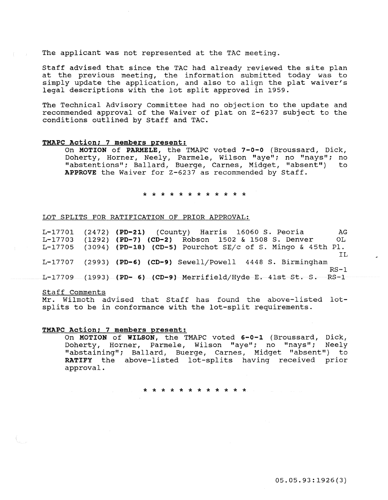The applicant was not represented at the TAC meeting.

Staff advised that since the TAC had already reviewed the site plan at the previous meeting, the information submitted today was to simply update the application, and also to align the plat waiver's legal descriptions with the lot split approved in 1959.

The Technical Advisory Committee had no objection to the update and recommended approval of the Waiver of plat on Z-6237 subject to the conditions outlined by Staff and TAC.

#### TMAPC Action; 7 members present:

On MOTION of PARMELE, the TMAPC voted 7-0-0 (Broussard, Dick, Doherty, Horner, Neely, Parmele, Wilson "aye"; no "nays"; no<br>"abstentions": Ballard, Buerge, Carnes, Midget, "absent") to "abstentions"; Ballard, Buerge, Carnes, Midget, "absent") APPROVE the Waiver for Z-6237 as recommended by Staff.

#### \* \* \* \* \* \* \* \* \* \* \* \*

#### LOT SPLITS FOR RATIFICATION OF PRIOR APPROVAL:

L-17701 (2472) (PD-21) (County) Harris 16060 S. Peoria AG<br>L-17703 (1292) (PD-7) (CD-2) Robson 1502 & 1508 S. Denver OL  $(1292)$  (PD-7) (CD-2) Robson 1502 & 1508 S. Denver L-17705 (3094) (PD-18) (CD-S) Pourchot SE/c of s. Mingo & 45th Pl. IL L-17707 (2993) (PD-6) (CD-9) Sewell/Powell 4448 s. Birmingham  $RS-1$  $L-17709$  (1993) (PD-6) (CD-9) Merrifield/Hyde E. 41st St. S. RS-1

#### Staff Comments

Mr. Wilmoth advised that Staff has found the above-listed lotsplits to be in conformance with the lot-split requirements.

#### TMAPC Action: 7 members present:

On MOTION of WILSON, the TMAPC voted 6-0-l (Broussard, Dick, Doherty, Horner, Parmele, Wilson "aye"; no "nays"; Neely "abstaining"; Ballard, Buerge, Carnes, Midget "absent") to RATIFY the above-listed lot-splits having received prior approval.

\* \* \* \* \* \* \* \* \* \* \* \*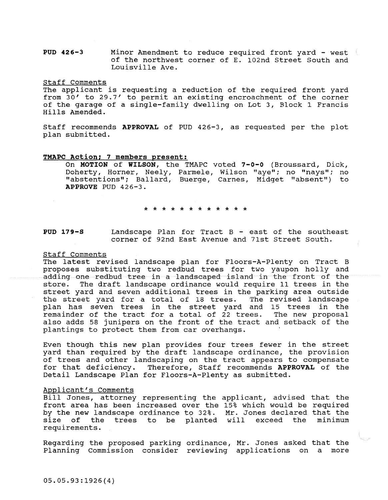**PUD 426-3** Minor Amendment to reduce required front yard - west of the northwest corner of E. 102nd Street South and Louisville Ave.

Staff Comments

The applicant is requesting a reduction of the required front yard from 30' to 29.7' to permit an existing encroachment of the corner of the garage of a single-family dwelling on Lot 3, Block 1 Francis Hills Amended.

Staff recommends **APPROVAL** of PUD 426-3, as requested per the plot plan submitted.

#### **TMAPC Action; 7 members present:**

On **MOTION of WILSON,** the TMAPC voted **7-0-0** (Broussard, Dick, Doherty, Horner, Neely, Parmele, Wilson "aye"; no "nays"; no "abstentions"; Ballard, Buerge, Carnes, Midget "absent") to APPROVE PUD 426-3.

\* \* \* \* \* \* \* \* \* \* \* \*

**PUD 179-S** Landscape Plan for Tract B - east of the southeast corner of 92nd East Avenue and 7lst Street south.

#### Staff Comments

The latest revised landscape plan for Floors-A-Plenty on Tract B proposes substituting two redbud trees for two yaupon holly and adding one redbud tree in a landscaped island in the front of the store. The draft landscape ordinance would require 11 trees in the street yard and seven additional trees in the parking area outside the street yard for a total of 18 trees. The revised landscape plan has seven trees in the street yard and 15 trees in the remainder of the tract for a total of 22 trees. The new proposal also adds 58 junipers on the front of the tract and setback of the plantings to protect them from car overhangs.

Even though this new plan provides four trees fewer in the street yard than required by the draft landscape ordinance, the provision of trees and other landscaping on the tract appears to compensate for that deficiency. Therefore, Staff recommends **APPROVAL** of the Detail Landscape Plan for Floors-A-Plenty as submitted.

# Applicant's Comments

Bill Jones, attorney representing the applicant, advised that the front area has been increased over the 15% which would be required by the new landscape ordinance to 32%. Mr~ **Jones declared that the**  size of the trees to be planted will requirements. exceed the minimum

Regarding the proposed parking ordinance, Mr. Jones asked that the Planning Commission consider reviewing applications on a more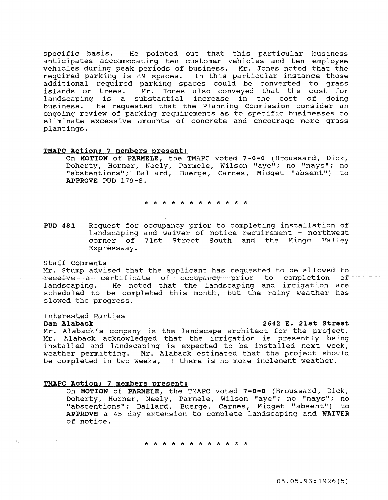specific basis. He pointed out that this particular business anticipates accommodating ten customer vehicles and ten employee vehicles during peak periods of business. Mr. Jones noted that the required parking is 89 spaces. In this particular instance those additional required parking spaces could be converted to grass islands or trees. Mr. Jones also conveyed that the cost for landscaping is a substantial increase in the cost of doing business. He requested that the Planning Commission consider an ongoing review of parking requirements as to specific businesses to eliminate excessive amounts of concrete and encourage more grass plantings.

#### TMAPC Action; 7 members present:

On MOTION of PARMELE, the TMAPC voted 7-0-0 (Broussard, Dick, Doherty, Horner, Neely, Parmele, Wilson "aye"; no "nays"; no "abstentions";· Ballard, Buerge, Carnes, Midget "absent") to APPROVE PUD 179-S.

\* \* \* \* \* \* \* \* \* \* \* \*

PUD 481 Request for occupancy prior to completing installation of landscaping and waiver of notice requirement - northwest corner of 71st Street South and the Mingo Valley Expressway.

Staff Comments<br>
Mr. Stump advised that the applicant has requested to be allowed to<br>
receive a certificate of occupancy prior to completion of receive a certificate of occupancy prior to completion landscaping. He noted that the landscaping and irrigation are scheduled to be completed this month, but the rainy weather has slowed the progress.

# Interested Parties

# 2642 E. 21st Street

Mr. Alaback's company is the landscape architect for the project. Mr. Alaback acknowledged that the irrigation is presently being installed and landscaping is expected to be installed next week, weather permitting. Mr. Alaback estimated that the project should be completed in two weeks, if there is no more inclement weather.

### TMAPC Action; 7 members present:

On MOTION of PARMELE, the TMAPC voted 7-0-0 (Broussard, Dick, Doherty, Horner, Neely, Parmele, Wilson "aye"; no "nays"; no "abstentions" ; Ballard, Buerge, Carnes, Midget "absent") to APPROVE a 45 day extension to complete landscaping and WAIVER of notice.

\* \* \* \* \* \* \* \* \* \* \* \*